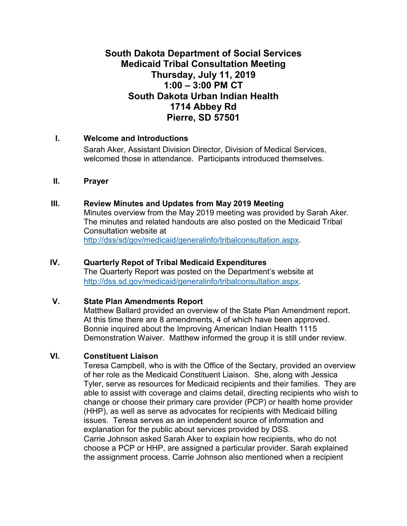# **South Dakota Department of Social Services Medicaid Tribal Consultation Meeting Thursday, July 11, 2019 1:00 – 3:00 PM CT South Dakota Urban Indian Health 1714 Abbey Rd Pierre, SD 57501**

## **I. Welcome and Introductions**

Sarah Aker, Assistant Division Director, Division of Medical Services, welcomed those in attendance. Participants introduced themselves.

#### **II. Prayer**

## **III. Review Minutes and Updates from May 2019 Meeting**

Minutes overview from the May 2019 meeting was provided by Sarah Aker. The minutes and related handouts are also posted on the Medicaid Tribal Consultation website at [http://dss/sd/gov/medicaid/generalinfo/tribalconsultation.aspx.](http://dss/sd/gov/medicaid/generalinfo/tribalconsultation.aspx)

#### **IV. Quarterly Repot of Tribal Medicaid Expenditures**

The Quarterly Report was posted on the Department's website at [http://dss.sd.gov/medicaid/generalinfo/tribalconsultation.aspx.](http://dss.sd.gov/medicaid/generalinfo/tribalconsultation.aspx)

# **V. State Plan Amendments Report**

Matthew Ballard provided an overview of the State Plan Amendment report. At this time there are 8 amendments, 4 of which have been approved. Bonnie inquired about the Improving American Indian Health 1115 Demonstration Waiver. Matthew informed the group it is still under review.

# **VI. Constituent Liaison**

Teresa Campbell, who is with the Office of the Sectary, provided an overview of her role as the Medicaid Constituent Liaison. She, along with Jessica Tyler, serve as resources for Medicaid recipients and their families. They are able to assist with coverage and claims detail, directing recipients who wish to change or choose their primary care provider (PCP) or health home provider (HHP), as well as serve as advocates for recipients with Medicaid billing issues. Teresa serves as an independent source of information and explanation for the public about services provided by DSS. Carrie Johnson asked Sarah Aker to explain how recipients, who do not choose a PCP or HHP, are assigned a particular provider. Sarah explained the assignment process. Carrie Johnson also mentioned when a recipient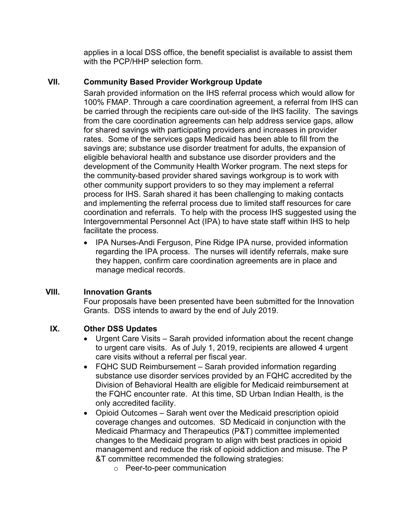applies in a local DSS office, the benefit specialist is available to assist them with the PCP/HHP selection form.

# **VII. Community Based Provider Workgroup Update**

Sarah provided information on the IHS referral process which would allow for 100% FMAP. Through a care coordination agreement, a referral from IHS can be carried through the recipients care out-side of the IHS facility. The savings from the care coordination agreements can help address service gaps, allow for shared savings with participating providers and increases in provider rates. Some of the services gaps Medicaid has been able to fill from the savings are; substance use disorder treatment for adults, the expansion of eligible behavioral health and substance use disorder providers and the development of the Community Health Worker program. The next steps for the community-based provider shared savings workgroup is to work with other community support providers to so they may implement a referral process for IHS. Sarah shared it has been challenging to making contacts and implementing the referral process due to limited staff resources for care coordination and referrals. To help with the process IHS suggested using the Intergovernmental Personnel Act (IPA) to have state staff within IHS to help facilitate the process.

• IPA Nurses-Andi Ferguson, Pine Ridge IPA nurse, provided information regarding the IPA process. The nurses will identify referrals, make sure they happen, confirm care coordination agreements are in place and manage medical records.

# **VIII. Innovation Grants**

Four proposals have been presented have been submitted for the Innovation Grants. DSS intends to award by the end of July 2019.

#### **IX. Other DSS Updates**

- Urgent Care Visits Sarah provided information about the recent change to urgent care visits. As of July 1, 2019, recipients are allowed 4 urgent care visits without a referral per fiscal year.
- FQHC SUD Reimbursement Sarah provided information regarding substance use disorder services provided by an FQHC accredited by the Division of Behavioral Health are eligible for Medicaid reimbursement at the FQHC encounter rate. At this time, SD Urban Indian Health, is the only accredited facility.
- Opioid Outcomes Sarah went over the Medicaid prescription opioid coverage changes and outcomes. SD Medicaid in conjunction with the Medicaid Pharmacy and Therapeutics (P&T) committee implemented changes to the Medicaid program to align with best practices in opioid management and reduce the risk of opioid addiction and misuse. The P &T committee recommended the following strategies:
	- o Peer-to-peer communication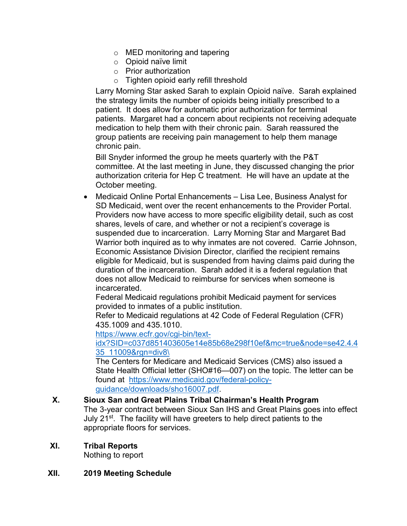- o MED monitoring and tapering
- o Opioid naïve limit
- o Prior authorization
- o Tighten opioid early refill threshold

Larry Morning Star asked Sarah to explain Opioid naïve. Sarah explained the strategy limits the number of opioids being initially prescribed to a patient. It does allow for automatic prior authorization for terminal patients. Margaret had a concern about recipients not receiving adequate medication to help them with their chronic pain. Sarah reassured the group patients are receiving pain management to help them manage chronic pain.

Bill Snyder informed the group he meets quarterly with the P&T committee. At the last meeting in June, they discussed changing the prior authorization criteria for Hep C treatment. He will have an update at the October meeting.

• Medicaid Online Portal Enhancements – Lisa Lee, Business Analyst for SD Medicaid, went over the recent enhancements to the Provider Portal. Providers now have access to more specific eligibility detail, such as cost shares, levels of care, and whether or not a recipient's coverage is suspended due to incarceration. Larry Morning Star and Margaret Bad Warrior both inquired as to why inmates are not covered. Carrie Johnson, Economic Assistance Division Director, clarified the recipient remains eligible for Medicaid, but is suspended from having claims paid during the duration of the incarceration. Sarah added it is a federal regulation that does not allow Medicaid to reimburse for services when someone is incarcerated.

Federal Medicaid regulations prohibit Medicaid payment for services provided to inmates of a public institution.

Refer to Medicaid regulations at 42 Code of Federal Regulation (CFR) 435.1009 and 435.1010.

[https://www.ecfr.gov/cgi-bin/text-](https://www.ecfr.gov/cgi-bin/text-idx?SID=c037d851403605e14e85b68e298f10ef&mc=true&node=se42.4.435_11009&rgn=div8%5C)

## [idx?SID=c037d851403605e14e85b68e298f10ef&mc=true&node=se42.4.4](https://www.ecfr.gov/cgi-bin/text-idx?SID=c037d851403605e14e85b68e298f10ef&mc=true&node=se42.4.435_11009&rgn=div8%5C) [35\\_11009&rgn=div8\](https://www.ecfr.gov/cgi-bin/text-idx?SID=c037d851403605e14e85b68e298f10ef&mc=true&node=se42.4.435_11009&rgn=div8%5C)

The Centers for Medicare and Medicaid Services (CMS) also issued a State Health Official letter (SHO#16—007) on the topic. The letter can be found at [https://www.medicaid.gov/federal-policy](https://www.medicaid.gov/federal-policy-guidance/downloads/sho16007.pdf)[guidance/downloads/sho16007.pdf.](https://www.medicaid.gov/federal-policy-guidance/downloads/sho16007.pdf)

**X. Sioux San and Great Plains Tribal Chairman's Health Program** The 3-year contract between Sioux San IHS and Great Plains goes into effect July 21<sup>st</sup>. The facility will have greeters to help direct patients to the appropriate floors for services.

# **XI. Tribal Reports**

Nothing to report

#### **XII. 2019 Meeting Schedule**